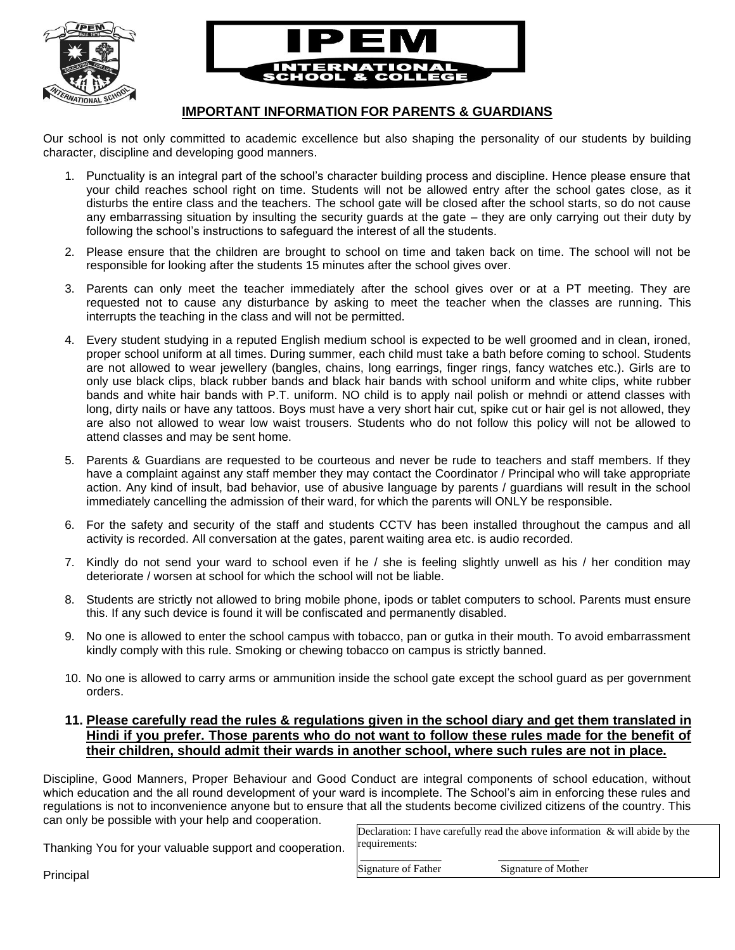



## **IMPORTANT INFORMATION FOR PARENTS & GUARDIANS**

Our school is not only committed to academic excellence but also shaping the personality of our students by building character, discipline and developing good manners.

- 1. Punctuality is an integral part of the school's character building process and discipline. Hence please ensure that your child reaches school right on time. Students will not be allowed entry after the school gates close, as it disturbs the entire class and the teachers. The school gate will be closed after the school starts, so do not cause any embarrassing situation by insulting the security guards at the gate – they are only carrying out their duty by following the school's instructions to safeguard the interest of all the students.
- 2. Please ensure that the children are brought to school on time and taken back on time. The school will not be responsible for looking after the students 15 minutes after the school gives over.
- 3. Parents can only meet the teacher immediately after the school gives over or at a PT meeting. They are requested not to cause any disturbance by asking to meet the teacher when the classes are running. This interrupts the teaching in the class and will not be permitted.
- 4. Every student studying in a reputed English medium school is expected to be well groomed and in clean, ironed, proper school uniform at all times. During summer, each child must take a bath before coming to school. Students are not allowed to wear jewellery (bangles, chains, long earrings, finger rings, fancy watches etc.). Girls are to only use black clips, black rubber bands and black hair bands with school uniform and white clips, white rubber bands and white hair bands with P.T. uniform. NO child is to apply nail polish or mehndi or attend classes with long, dirty nails or have any tattoos. Boys must have a very short hair cut, spike cut or hair gel is not allowed, they are also not allowed to wear low waist trousers. Students who do not follow this policy will not be allowed to attend classes and may be sent home.
- 5. Parents & Guardians are requested to be courteous and never be rude to teachers and staff members. If they have a complaint against any staff member they may contact the Coordinator / Principal who will take appropriate action. Any kind of insult, bad behavior, use of abusive language by parents / guardians will result in the school immediately cancelling the admission of their ward, for which the parents will ONLY be responsible.
- 6. For the safety and security of the staff and students CCTV has been installed throughout the campus and all activity is recorded. All conversation at the gates, parent waiting area etc. is audio recorded.
- 7. Kindly do not send your ward to school even if he / she is feeling slightly unwell as his / her condition may deteriorate / worsen at school for which the school will not be liable.
- 8. Students are strictly not allowed to bring mobile phone, ipods or tablet computers to school. Parents must ensure this. If any such device is found it will be confiscated and permanently disabled.
- 9. No one is allowed to enter the school campus with tobacco, pan or gutka in their mouth. To avoid embarrassment kindly comply with this rule. Smoking or chewing tobacco on campus is strictly banned.
- 10. No one is allowed to carry arms or ammunition inside the school gate except the school guard as per government orders.

## **11. Please carefully read the rules & regulations given in the school diary and get them translated in Hindi if you prefer. Those parents who do not want to follow these rules made for the benefit of their children, should admit their wards in another school, where such rules are not in place.**

Discipline, Good Manners, Proper Behaviour and Good Conduct are integral components of school education, without which education and the all round development of your ward is incomplete. The School's aim in enforcing these rules and regulations is not to inconvenience anyone but to ensure that all the students become civilized citizens of the country. This can only be possible with your help and cooperation.

Thanking You for your valuable support and cooperation.

Declaration: I have carefully read the above information  $\&$  will abide by the requirements:

\_\_\_\_\_\_\_\_\_\_\_\_\_\_\_ \_\_\_\_\_\_\_\_\_\_\_\_\_\_\_

Signature of Father Signature of Mother

Principal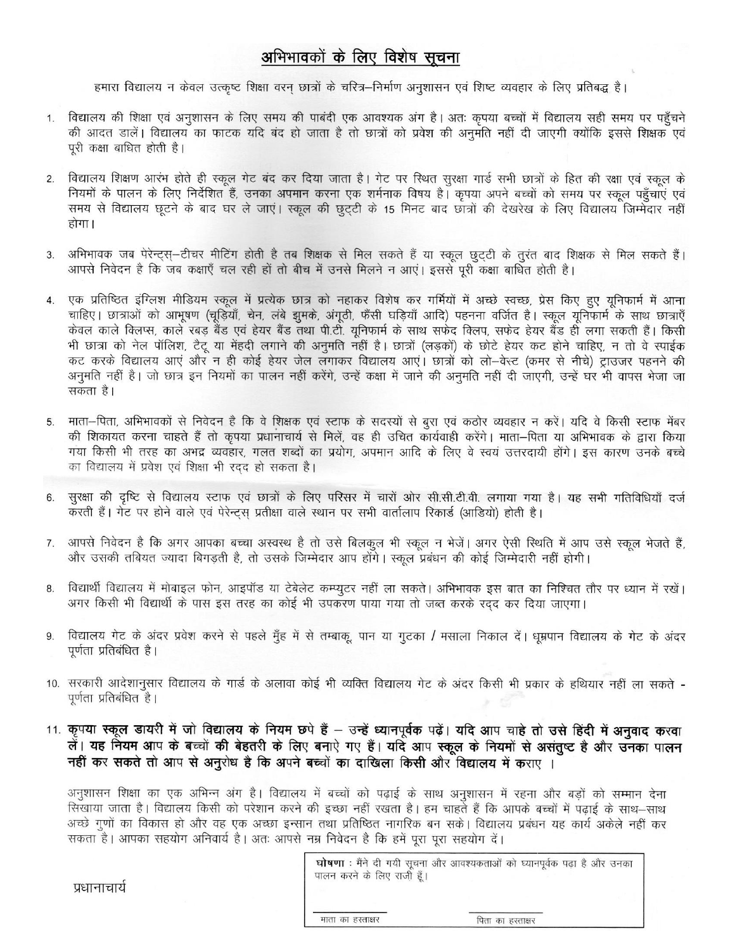## अभिभावकों के लिए विशेष सूचना

हमारा विद्यालय न केवल उत्कृष्ट शिक्षा वरन छात्रों के चरित्र-निर्माण अनुशासन एवं शिष्ट व्यवहार के लिए प्रतिबद्ध है।

- विद्यालय की शिक्षा एवं अनुशासन के लिए समय की पाबंदी एक आवश्यक अंग है। अतः कृपया बच्चों में विद्यालय सही समय पर पहुँचने की आदत डालें। विद्यालय का फाटक यदि बंद हो जाता है तो छात्रों को प्रवेश की अनुमति नहीं दी जाएगी क्योंकि इससे शिक्षक एवं पुरी कक्षा बाधित होती है।
- विद्यालय शिक्षण आरंभ होते ही स्कूल गेट बंद कर दिया जाता है। गेट पर स्थित सुरक्षा गार्ड सभी छात्रों के हित की रक्षा एवं स्कूल के  $2.$ नियमों के पालन के लिए निर्देशित हैं, उनका अपमान करना एक शर्मनाक विषय है। कपया अपने बच्चों को समय पर स्कल पहुँचाएँ एवं समय से विद्यालय छूटने के बाद घर ले जाएं। स्कूल की छूटटी के 15 मिनट बाद छात्रों की देखरेख के लिए विद्यालय जिम्मेदार नहीं होगा।
- अभिभावक जब पेरेन्ट्स्-टीचर मीटिंग होती है तब शिक्षक से मिल सकते हैं या स्कूल छुट्टी के तुरंत बाद शिक्षक से मिल सकते हैं। 3. आपसे निवेदन है कि जब कक्षाएँ चल रही हों तो बीच में उनसे मिलने न आएं। इससे पूरी कक्षा बाधित होती है।
- एक प्रतिष्ठित इंग्लिश मीडियम स्कूल में प्रत्येक छात्र को नहाकर विशेष कर गर्मियों में अच्छे स्वच्छ, प्रेस किए हए यूनिफार्म में आना चाहिए। छात्राओं को आभूषण (चूड़ियाँ, चेन, लंबे झुमके, अंगूठी, फैंसी घड़ियाँ आदि) पहनना वर्जित है। स्कूल यूनिफार्म के साथ छात्राएँ केवल काले क्लिप्स, काले रबड़ बैंड एवं हेयर बैंड तथा पी.टी. यूनिफार्म के साथ सफेद क्लिप, सफेद हेयर बैंड ही लगा सकती हैं। किसी भी छात्रा को नेल पॉलिश, टैटू या मेंहदी लगाने की अनुमति नहीं है। छात्रों (लड़कों) के छोटे हेयर कट होने चाहिए, न तो वे स्पाईक कट करके विद्यालय आएं और न ही कोई हेयर जेल लगाकर विद्यालय आएं। छात्रों को लो-वेस्ट (कमर से नीचे) ट्राउजर पहनने की अनुमति नहीं है। जो छात्र इन नियमों का पालन नहीं करेंगे, उन्हें कक्षा में जाने की अनुमति नहीं दी जाएगी, उन्हें घर भी वापस भेजा जा सकता है।
- माता-पिता, अभिभावकों से निवेदन है कि वे शिक्षक एवं स्टाफ के सदस्यों से बुरा एवं कठोर व्यवहार न करें। यदि वे किसी स्टाफ मेंबर की शिकायत करना चाहते हैं तो कृपया प्रधानाचार्य से मिलें, वह ही उचित कार्यवाही करेंगे। माता–पिता या अभिभावक के द्वारा किया गया किसी भी तरह का अभद्र व्यवहार, गलत शब्दों का प्रयोग, अपमान आदि के लिए वे स्वयं उत्तरदायी होंगे। इस कारण उनके बच्चे का विद्यालय में प्रवेश एवं शिक्षा भी रदद हो सकता है।
- सुरक्षा की दृष्टि से विद्यालय स्टाफ एवं छात्रों के लिए परिसर में चारों ओर सी.सी.टी.वी. लगाया गया है। यह सभी गतिविधियाँ दर्ज 6. करती हैं। गेंट पर होने वाले एवं पेरेन्ट्स प्रतीक्षा वाले स्थान पर सभी वार्तालाप रिकार्ड (आडियो) होती है।
- आपसे निवेदन है कि अगर आपका बच्चा अस्वस्थ है तो उसे बिलकुल भी स्कूल न भेजें। अगर ऐसी स्थिति में आप उसे स्कूल भेजते हैं, 7. और उसकी तबियत ज्यादा बिगड़ती है, तो उसके जिम्मेदार आप होंगे। स्कूल प्रबंधन की कोई जिम्मेदारी नहीं होगी।
- विद्यार्थी विद्यालय में मोबाइल फोन, आइपॉड या टेबेलेट कम्प्यूटर नहीं ला सकते। अभिभावक इस बात का निश्चित तौर पर ध्यान में रखें। 8. अगर किसी भी विद्यार्थी के पास इस तरह का कोई भी उपकरण पाया गया तो जब्त करके रदद कर दिया जाएगा।
- विद्यालय गेट के अंदर प्रवेश करने से पहले मुँह में से तम्बाकू पान या गुटका / मसाला निकाल दें। धूम्रपान विद्यालय के गेट के अंदर 9. पूर्णता प्रतिबंधित है।
- 10. सरकारी आदेशानुसार विद्यालय के गार्ड के अलावा कोई भी व्यक्ति विद्यालय गेट के अंदर किसी भी प्रकार के हथियार नहीं ला सकते -पूर्णता प्रतिबंधित है।
- 11. कृपया स्कूल डायरी में जो विद्यालय के नियम छपे हैं उन्हें ध्यानपूर्वक पढ़ें। यदि आप चाहे तो उसे हिंदी में अनुवाद करवा लें। यह नियम आप के बच्चों की बेहतरी के लिए बनाएे गए हैं। यदि आप स्कूल के नियमों से असंतुष्ट है और उनका पालन नहीं कर सकते तो आप से अनुरोध है कि अपने बच्चों का दाखिला किसी और विद्यालय में कराए ।

अनुशासन शिक्षा का एक अभिन्न अंग है। विद्यालय में बच्चों को पढ़ाई के साथ अनुशासन में रहना और बड़ों को सम्मान देना सिखाया जाता है। विद्यालय किसी को परेशान करने की इच्छा नहीं रखता है। हम चाहते हैं कि आपके बच्चों में पढ़ाई के साथ–साथ अच्छे गुणों का विकास हो और वह एक अच्छा इन्सान तथा प्रतिष्ठित नागरिक बन सके। विद्यालय प्रबंधन यह कार्य अकेले नहीं कर सकता है। आपका सहयोग अनिवार्य है। अतः आपसे नम्र निवेदन है कि हमें पूरा पूरा सहयोग दें।

|                            | घोषणा: मैंने दी गयी सूचना और आवश्यकताओं को घ्यानपूर्वक पढ़ा है और उनका |
|----------------------------|------------------------------------------------------------------------|
| पालन करने के लिए राजी हूँ। |                                                                        |
|                            |                                                                        |
|                            |                                                                        |
|                            |                                                                        |

प्रधानाचार्य